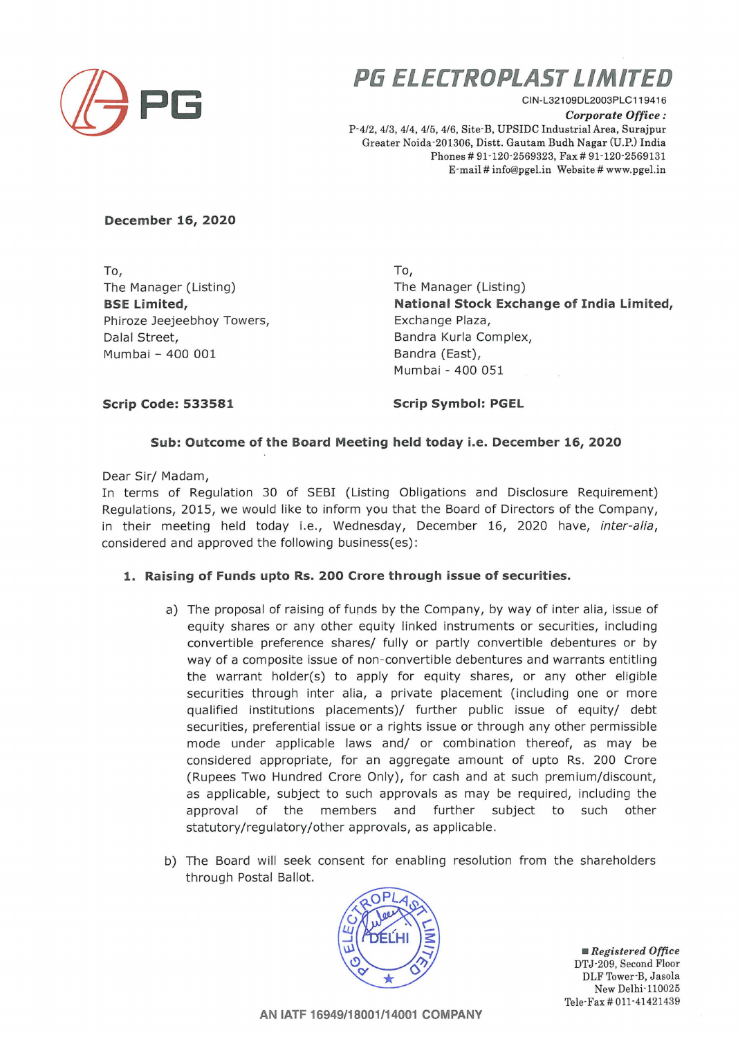

## **PG ELECTROPLAST LIMITED**

CIN-L321 09DL2003PLC119416  $Corporate$  *Office* : P-4/2, 4/3, 4/4, 4/5, 4/6, Site-B, UPSIDC Industrial Area, Surajpur Greater Noida-201306, Distt. Gautam Budh Nagar (U.P.) India Phones# 91-120·2569323, Fax# 91-120-2569131 E-mail# info@pgel.in Website # www.pgel.in

**December 16, 2020** 

To, To, The Manager (Listing) **BSE Limited,**  Phiroze Jeejeebhoy Towers, The Communist Exchange Plaza, Dalal Street, Mumbai - 400 001

The Manager (Listing) **National Stock Exchange of India Limited,**  Bandra Kurla Complex, Bandra (East), Mumbai - 400 051

**Scrip Code: 533581** 

**Scrip Symbol: PGEL** 

## **Sub: Outcome of the Board Meeting held today i.e. Decembe r 16, 2020**

Dear Sir/ Madam,

In terms of Regulation 30 of SEBI (Listing Obligations and Disclosure Requirement) Regulations, 2015, we would like to inform you that the Board of Directors of the Company, in their meeting held today i.e., Wednesday, December 16, 2020 have, inter-alia, considered and approved the following business(es) :

## **1. Raising of Funds upto Rs. 200 Crore through issue of securities.**

- a) The proposal of raising of funds by the Company, by way of inter alia, issue of equity shares or any other equity linked instruments or securities, including convertible preference shares/ fully or partly convertible debentures or by way of a composite issue of non-convertible debentures and warrants entitling the warrant holder(s) to apply for equity shares, or any other eligible securities through inter alia, a private placement (including one or more qualified institutions placements)/ further public issue of equity/ debt securities, preferential issue or a rights issue or through any other permissible mode under applicable laws and/ or combination thereof, as may be considered appropriate, for an aggregate amount of upto Rs. 200 Crore (Rupees Two Hundred Crore Only), for cash and at such premium/discount, as applicable, subject to such approvals as may be required, including the approval of the members and further subject to such other statutory/regulatory/other approvals, as applicable .
- b) The Board will seek consent for enabling resolution from the shareholders through Postal Ballot.



• *Registered Office*  DTJ-209, Second Floor DLF Tower-B, Jasola New Delhi-110025 Tele-Fax # 011-41421439

**AN IATF 16949/18001/14001 COMPANY**